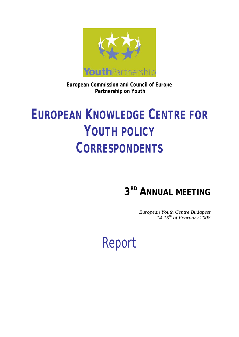

**European Commission and Council of Europe Partnership on Youth** 

# **EUROPEAN KNOWLEDGE CENTRE FOR YOUTH POLICY CORRESPONDENTS**

# **3RD ANNUAL MEETING**

*European Youth Centre Budapest 14-15th of February 2008*

# Report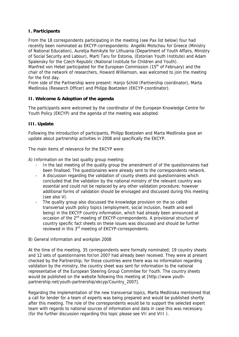# **I. Participants**

From the 18 correspondents participating in the meeting (see Pax list below) four had recently been nominated as EKCYP-correspondents: Angeliki Molschou for Greece (Ministry of National Education), Aurelija Reinikyte for Lithuania (Department of Youth Affairs, Ministry of Social Security and Labour), Marti Taru for Estonia, (Estonian Youth Institute) and Adam Spalensky for the Czech Republic (National Institute for Children and Youth).

Manfred von Hebel participated for the European Commission (15<sup>th</sup> of February) and the chair of the network of researchers, Howard Williamson, was welcomed to join the meeting for the first day.

From side of the Partnership were present: Hanjo Schild (Partnership coordinator), Marta Medlinska (Research Officer) and Philipp Boetzelen (EKCYP-coordinator).

# **II. Welcome & Adoption of the agenda**

The participants were welcomed by the coordinator of the European Knowledge Centre for Youth Policy (EKCYP) and the agenda of the meeting was adopted.

# **III. Update**

Following the introduction of participants, Philipp Boetzelen and Marta Medlinska gave an update about partnership activities in 2008 and specifically the EKCYP.

The main items of relevance for the EKCYP were:

A) Information on the last quality group meeting:

- In the last meeting of the quality group the amendment of of the questionnaires had been finalised. The questionaires were already sent to the correspondents network.
- A discussion regarding the validation of county sheets and questionnaires which concluded that the validation by the national ministry of the relevant country was essential and could not be replaced by any other validation procedure; however additional forms of validation should be envisaged and discussed during this meeting (see also V).
- The quality group also discussed the knowledge provision on the so called transversal youth policy topics (employment, social inclusion, health and well being) in the EKCYP country information, which had already been announced at occasion of the 2<sup>nd</sup> meeting of EKCYP-correspondents. A provisional structure of country specific fact sheets on these issues was discussed and should be further reviewed in this 3rd meeting of EKCYP-correspondents.
- B) General information and workplan 2008

At the time of the meeting, 35 correspondents were formally nominated; 19 country sheets and 12 sets of questionnaires for/on 2007 had already been received. They were at present checked by the Partnership; for those countries were there was no information regarding validation by the ministry, the country sheet was sent for information to the national representative of the European Steering Group Commitee for Youth. The country sheets [would be published on the website following this meeting at \[http://www.yout](http://www.youth-partnership.net/youth-partnership/ekcyp/Country_2007)hpartnership[.net/youth-partnership/ekcyp/Country\\_2007](http://www.youth-partnership.net/youth-partnership/ekcyp/Country_2007)].

Regarding the implementation of the new transversal topics, Marta Medlinska mentioned that a call for tender for a team of experts was being prepared and would be published shortly after this meeting. The role of the correspondents would be to support the selected expert team with regards to national sources of information and data in case this was necessary. (for the further discussion regarding this topic please see VII and VIII ).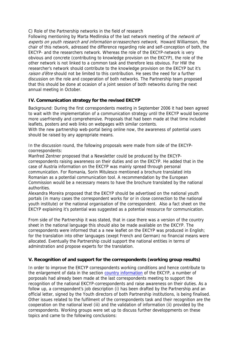C) Role of the Partnership networks in the field of research

Following mentioning by Marta Medlinska of the last network meeting of the *network of* experts on youth research and information or reaserchers network, Howard Williamson, the chair of this network, adressed the difference regarding role and self-conception of both, the EKCYP- and the researchers network. Whereas the role of the EKCYP-network is very obvious and concrete (contributing to knowledge provision on the EKCYP), the role of the other network is not linked to a common task and therefore less obvious. For HW the researcher's network should contribute to the knowledge provision on the EKCYP but it's raison d'être should not be limited to this contribution. He sees the need for a further discussion on the role and cooperation of both networks. The Partnership team proposed that this should be done at ocasion of a joint session of both networks during the next annual meeting in October.

# **IV. Communication strategy for the revised EKCYP**

Background: During the first correspondents meeting in September 2006 it had been agreed to wait with the implementation of a communication strategy until the EKCYP would become more userfriendly and comprehensive. Proposals that had been made at that time included leaflets, posters and web links on webpages with similar contents.

With the new partnership web-portal being online now, the awareness of potential users should be raised by any appropriate means.

In the discussion round, the following proposals were made from side of the EKCYPcoorrespondents:

Manfred Zentner proposed that a Newsletter could be produced by the EKCYPcorrespondents raising awareness on their duties and on the EKCYP. He added that in the case of Austria information on the EKCYP was mainly spread through personal communication. For Romania, Sorin Mitulesco mentioned a brochure translated into Romanian as a potential communication tool. A recommendation by the European Commission would be a necessary means to have the brochure translated by the national authorities.

Alexandra Moreira proposed that the EKCYP should be advertised on the national youth portals (in many cases the correspondent works for or in close connection to the national youth institute) or the national organisation of the correspondent. Also a fact sheet on the EKCYP explaining it's potential was suggested as a potential ressource for communication.

From side of the Partnership it was stated, that in case there was a version of the country sheet in the national language this should also be made available on the EKCYP. The correspondents were informed that a a new leaflet on the EKCYP was produced in English; for the translation into other languages (exept French and German) no financial means were allocated. Eventually the Partnership could support the national entities in terms of adminstration and propose experts for the translation.

# **V. Recognition of and support for the correspondents (working group results)**

In order to improve the EKCYP correspondents working conditions and hence contribute to the enlargement of data in the section country information of the EKCYP, a number of porposals had already been made at the last correspondents meeting to support the recognition of the national EKCYP-correspondents and raise awareness on their duties. As a follow up, a correspondent's job description (i) has been drafted by the Partnership and an official letter, signed by the Youth directors of both Partnership institutions, is being finalised. Other issues related to the fulfilment of the correspondents task and their recognition are the cooperation on the national level (iii) and the validation of information (ii) provided by the correspondents. Working groups were set up to discuss further developpments on these topics and came to the following conclusions: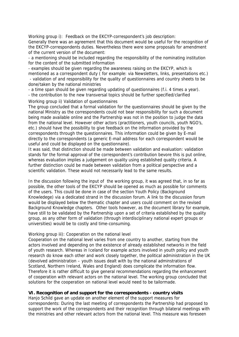Working group i): Feedback on the EKCYP-correspondent's job description: Generally there was an agreement that this document would be useful for the recognition of the EKCYP-correspondents duties. Nevertheless there were some proposals for amendment of the current version of the document:

- a mentioning should be included regarding the responsibility of the nominating institution for the content of the submitted information

- examples should be given regarding the awareness raising on the EKCYP, which is mentioned as a correspondent duty ( for example: via Newsletters, links, presentations etc.) - validation of and responsibility for the quality of questionnaires and country sheets to be

done/taken by the national ministries

- a time span should be given regarding updating of questionnaires (f.i. 4 times a year).

- the contribution to the new transversal topics should be further specified/clarified

Working group ii) Validation of questionnaires

The group concluded that a formal validation for the questionnaires should be given by the national Ministry as the correspondents could not bear responsibility for such a document being made available online and the Partnership was not in the position to judge the data from the national level. However other actors (practitioners, youth councils, youth NGO's, etc.) should have the possibility to give feedback on the information provided by the correspondents through the questionnaires. This information could be given by E-mail directly to the correspondents (a generic E-mail address for each correspondent would be useful and could be displayed on the questionnaire).

It was said, that distinction should be made between validation and evaluation: validation stands for the formal approval of the correspondent's contribution bevore this is put online, whereas evaluation implies a judgement on quality using established quality criteria. A further distinction could be made between validation from a political perspective and a scientific validation. These would not necessarily lead to the same results.

In the discussion following the input of the working group, it was agreed that, in so far as possible, the other tools of the EKCYP should be opened as much as possible for comments of the users. This could be done in case of the section Youth Policy (Background Knowledege) via a dedicated strand in the discussion forum. A link to the discussion forum would be displayed below the thematic chapter and users could comment on the revised Background Knowledge chapters. Other tools however, as the document library for example, have still to be validated by the Partnership upon a set of criteria established by the quality group, as any other form of validation (through interdisciplinary national expert groups or universities) would be to costly and time-consuming.

### Working group iii): Cooperation on the national level

Cooperation on the national level varies from one country to another, starting from the actors involved and depending on the existence of already established networks in the field of youth research. Whereas in Iceland for example actors involved in youth policy and youth research do know each other and work closely together, the political administration in the UK (devolved administration – youth issues dealt with by the national adminstrations of Scotland, Northern Ireland, Wales and England) does complicate the information flow. Therefore it is rather difficult to give general recommendations regarding the enhancement of cooperation with relevant actors on the national level. The working group concluded that solutions for the cooperation on national level would need to be tailormade.

### **VI. Recognition of and support for the correspondents - country visits**

Hanjo Schild gave an update on another element of the support measures for correspondents: During the last meeting of correspondents the Partnership had proposed to support the work of the correspondents and their recognition through bilateral meetings with the ministries and other relevant actors from the national level. This measure was foreseen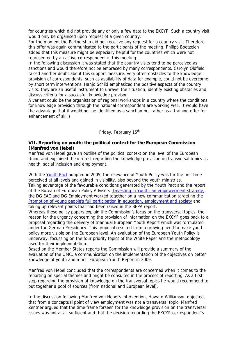for countries which did not provide any or only a few data to the EKCYP. Such a country visit would only be organised upon request of a given country.

For the moment the Partnership did not receicve any request for a country visit. Therefore this offer was again communicated to the participants of the meeting. Philipp Boetzelen added that this measure might be especially helpful for the countries which were not represented by an active correspondent in this meeting.

In the following discussion it was stated that the country visits tend to be perceived as sanctions and would therefore not be embraced by many correspondents. Carolyn Oldfield raised another doubt about this support measure: very often obstacles to the knowledge provision of correspondents, such as availability of data for example, could not be overcome by short term interventions. Hanjo Schild emphasized the positive aspects of the country visits: they are an useful instrument to unravel the situation, identify existing obstacles and discuss criteria for a succesfull knowledge provison.

A variant could be the organistaion of regional workshops in a country where the conditions for knowledge provision through the national correspondent are working well. It would have the advantage that it would not be identified as a sanction but rather as a training offer for enhancement of skills.

# Friday, February 15<sup>th</sup>

#### **VII. Reporting on youth: the political context for the European Commission (Manfred von Hebel)**

Manfred von Hebel gave an outline of the political context on the level of the European Union and explained the interest regarding the knowledge provision on transversal topics as health, social inclusion and employment.

With the Youth Pact adopted in 2005, the relevance of Youth Policy was for the first time perceived at all levels and gained in visibility, also beyond the youth ministries. Taking advantage of the favourable conditions generated by the Youth Pact and the report of the Bureau of European Policy Advisers [Investing in Youth: an empowerment strategy], the DG EAC and DG Employment worked together on a new communication targeting the Promotion of young people's full participation in education, employment and society and taking up relevant points that had been raised in the BEPA report.

Whereas these policy papers explain the Commission's focus on the transversal topics, the reason for the urgency concerning the provision of information on the EKCYP goes back to a proposal regarding the delivery of triannual European Youth Report which was formulated under the German Presidency. This proposal resulted from a growing need to make youth policy more visible on the European level. An evaluation of the European Youth Policy is underway, focussing on the four priority topics of the White Paper and the methodology used for their implementation.

Based on the Member States reports the Commission will provide a summary of the evaluation of the OMC, a communication on the implementation of the objectives on better knowledge of youth and a first European Youth Report in 2009.

Manfred von Hebel concluded that the correspondents are concerned when it comes to the reporting on special themes and might be consulted in the process of reporting. As a first step regarding the provision of knowledge on the transversal topics he would recommend to put together a pool of sources (from national and European level).

In the discussion following Manfred von Hebel's intervention, Howard Williamson objected, that from a conceptual point of view employment was not a transversal topic. Manfred Zentner argued that the time frame forseen for the knowledge provision on the transversal issues was not at all sufficient and that the decision regarding the EKCYP-correspondent''s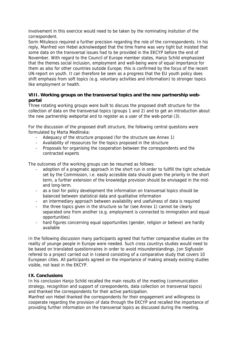involvement in this exercice would need to be taken by the nominating insitution of the correspondent.

Sorin Mitulesco required a further precision regarding the role of the corrrespondents. In his reply, Manfred von Hebel acknolwedged that the time frame was very tight but insisted that some data on the transversal issues had to be provided in the EKCYP before the end of November. With regard to the Council of Europe member states, Hanjo Schild emphasized that the themes social inclusion, employment and well-being were of equal importance for them as also for other countries outside Europe; this is confirmed by the focus of the recent UN-report on youth. It can therefore be seen as a progress that the EU youth policy does shift emphasis from soft topics (e.g. voluntary activities and information) to stronger topics like employment or health.

## **VIII. Working groups on the transversal topics and the new partnership webportal**

Three rotating working groups were built to discuss the proposed draft structure for the collection of data on the transversal topics (groups 1 and 2) and to get an introduction about the new partnership webportal and to register as a user of the web-portal (3).

For the discussion of the proposed draft structure, the following central questions were formulated by Marta Medlinska:

- Adequacy of the structure proposed (for the structure see Annex 1)
- Availability of ressources for the topics proposed in the structure
- Proposals for organising the cooperation between the correspondents and the contracted experts

The outcomes of the working groups can be resumed as follows:

- adoption of a pragmatic approach in the short run in order to fullfill the tight schedule set by the Commission, i.e. easily accesible data should given the priority in the short term, a further extension of the knowledge provision should be envisaged in the midand long-term.
- as a tool for policy development the information on transversal topics should be balanced between statistical data and qualitative information
- an intermediary approach between availability and usefulness of data is required
- the three topics given in the structure so far (see Annex 1) cannot be clearly separated one from another (e.g. employment is connected to immigration and equal opportunities)
- hard figures concerning equal opportunities (gender, religion or believe) are hardly available

In the following discussion many participants agreed that further comparative studies on the reality of younge people in Europe were needed. Such cross countrys studies would need to be based on translated questionnaires in order to avoid misunderstandings. Jon Sigfussón refered to a project carried out in Iceland consisting of a comparative study that covers 10 European cities. All participants agreed on the importance of making already existing studies visible, not least in the EKCYP.

### **IX. Conclusions**

In his conclusion Hanjo Schild recalled the main results of the meeting (communication strategy, recognition and support of corespondents, data collection on transversal topics) and thanked the correspondents for their active participation.

Manfred von Hebel thanked the correspondents for their engagement and willingness to cooperate regarding the provision of data through the EKCYP and recalled the importance of providing further information on the transversal topics as discussed during the meeting.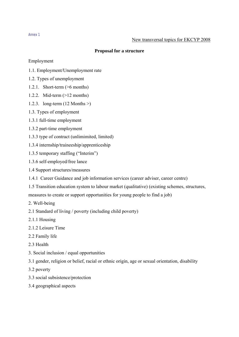# **Proposal for a structure**

# Employment

- 1.1. Employment/Unemployment rate
- 1.2. Types of unemployment
- 1.2.1. Short-term (>6 months)
- 1.2.2. Mid-term (>12 months)
- 1.2.3. long-term (12 Months >)
- 1.3. Types of employment
- 1.3.1 full-time employment
- 1.3.2 part-time employment
- 1.3.3 type of contract (unlimimited, limited)
- 1.3.4 internship/traineeship/apprenticeship
- 1.3.5 temporary staffing ("Interim")
- 1.3.6 self-employed/free lance
- 1.4 Support structures/measures
- 1.4.1 Career Guidance and job information services (career adviser, career centre)
- 1.5 Transition education system to labour market (qualitative) (existing schemes, structures, measures to create or support opportunities for young people to find a job)
- 2. Well-being
- 2.1 Standard of living / poverty (including child poverty)
- 2.1.1 Housing
- 2.1.2 Leisure Time
- 2.2 Family life
- 2.3 Health
- 3. Social inclusion / equal opportunities
- 3.1 gender, religion or belief, racial or ethnic origin, age or sexual orientation, disability
- 3.2 poverty
- 3.3 social subsistence/protection
- 3.4 geographical aspects

#### Annex 1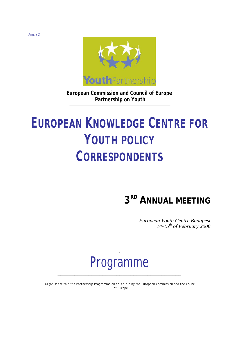

**European Commission and Council of Europe Partnership on Youth** 

# **EUROPEAN KNOWLEDGE CENTRE FOR YOUTH POLICY CORRESPONDENTS**

# **3RD ANNUAL MEETING**

*European Youth Centre Budapest 14-15th of February 2008*

# Programme

**\_\_\_\_\_\_\_\_\_\_\_\_\_\_\_\_\_\_\_\_\_\_\_\_\_\_\_\_\_\_\_\_\_\_\_\_\_\_\_\_\_\_\_\_** 

*.*

*Organised within the Partnership Programme on Youth run by the European Commission and the Council of Europe*

Annex 2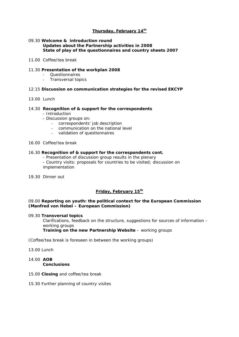### **Thursday, February 14th**

#### 09.30 **Welcome & introduction round Updates about the Partnership activities in 2008 State of play of the questionnaires and country sheets 2007**

#### *11.00 Coffee/tea break*

#### 11.30 **Presentation of the workplan 2008**

- Questionnaires
- Transversal topics

#### 12.15 **Discussion on communication strategies for the revised EKCYP**

#### *13.00 Lunch*

#### 14.30 **Recognition of & support for the correspondents**

- Introduction
- Discussion groups on:
	- correspondents' job description
	- communication on the national level
	- validation of questionnaires

#### *16.00 Coffee/tea break*

#### 16.30 **Recognition of & support for the correspondents cont.**

- Presentation of discussion group results in the plenary

- Country visits: proposals for countries to be visited; discussion on implementation

*19.30 Dinner out* 

#### **Friday, February 15th**

#### 09.00 **Reporting on youth: the political context for the European Commission (***Manfred von Hebel – European Commission***)**

#### 09.30 **Transversal topics**

Clarifications, feedback on the structure, suggestions for sources of information – working groups **Training on the new Partnership Website** – working groups

*(Coffee/tea break is foreseen in between the working groups)*

*13.00 Lunch* 

14.00 **AOB Conclusions** 

#### 15.00 **Closing** and coffee/tea break

15.30 Further planning of country visites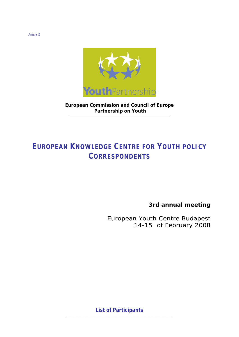

**European Commission and Council of Europe Partnership on Youth** 

# **EUROPEAN KNOWLEDGE CENTRE FOR YOUTH POLICY CORRESPONDENTS**

**3rd annual meeting** 

*European Youth Centre Budapest 14-15 of February 2008* 

**List of Participants \_\_\_\_\_\_\_\_\_\_\_\_\_\_\_\_\_\_\_\_\_\_\_\_\_\_\_\_\_\_\_\_\_\_\_\_\_\_\_\_\_\_\_\_** 

Annex 3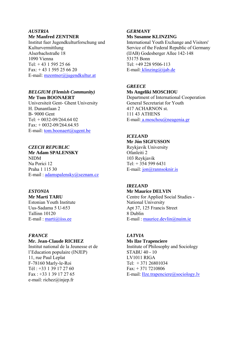# *AUSTRIA*

#### **Mr Manfred ZENTNER**

Institut fuer Jugendkulturforschung und Kulturvermittlung Alserbachstraße 18 1090 Vienna Tel:  $+43$  1 595 25 66  $Fax: +431595256620$ E-mail: [mzentner@jugendkultur.at](mailto:mzentner@jugendkultur.at)

### *BELGIUM (Flemish Community)*  **Mr Tom BOONAERT**

Universiteit Gent- Ghent University H. Dunantlaan 2 B- 9000 Gent Tel: + 0032-09/264.64 02  $Fax: +0032-09/264.64.93$ E-mail: tom.[boonaert@ugent.be](mailto:boonaert@ugent.be)

# *CZECH REPUBLIC*

**Mr Adam SPALENSKY**  NIDM Na Porici 12 Praha 1 115 30 E-mail : [adamspalensky@seznam.cz](mailto:adamspalensky@seznam.cz)

# *ESTONIA*

**Mr Marti TARU**  Estonian Youth Institute Uus-Sadama 5 U-653 Tallinn 10120 E-mail : [marti@iiss.ee](mailto:marti@iiss.ee)

## *FRANCE*

#### **Mr. Jean-Claude RICHEZ**

Institut national de la Jeunesse et de l'Education populaire (INJEP) 11, rue Paul Leplat F-78160 Marly-le-Roi Tél  $\cdot$  +33 1 39 17 27 60 Fax : +33 1 39 17 27 65 e-mail: [richez@injep.fr](mailto:richez@injep.fr) 

# *GERMANY*

#### **Ms Susanne KLINZING**

International Youth Exchange and Visitors' Service of the Federal Republic of Germany (IJAB) Godesberger Allee 142-148 53175 Bonn Tel: +49 228 9506-113 E-mail: [klinzing@ijab.de](mailto:klinzing@ijab.de)

#### *GREECE*

**Ms Angeliki MOSCHOU**  Department of International Cooperation General Secretariat for Youth 417 ACHARNON st. 111 43 ATHENS

E-mail: a[.moschou@neagenia.gr](mailto:moschou@neagenia.gr)

# *ICELAND*

**Mr Jón SIGFUSSON**  Reykjavik University Ofanleiti 2 103 Reykjavik Tel: + 354 599 6431 E-mail: [jon@rannsoknir.is](mailto:jon@rannsoknir.is)

# *IRELAND*

**Mr Maurice DELVIN**  Centre for Applied Social Studies -

National University Apt 37, 125 Francis Street 8 Dublin E-mail : maurice[.devlin@nuim.ie](mailto:devlin@nuim.ie)

#### *LATVIA*

**Ms Ilze Trapenciere**  Institute of Philosophy and Sociology STABU 40 - 10 LV1011 RIGA Tel: + 371 26801034 Fax: + 371 7210806 E-mail: Ilze.[trapenciere@sociology.lv](mailto:trapenciere@sociology.lv)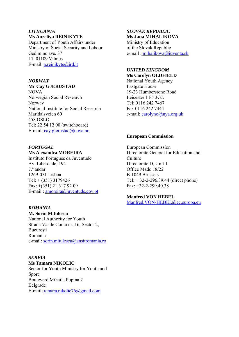# *LITHUANIA*

#### **Ms Aureliya REINIKYTE**

Department of Youth Affairs under Ministry of Social Security and Labour Gedimino ave. 37 LT-01109 Vilnius E-mail: a[.reinikyte@jrd.lt](mailto:reinikyte@jrd.lt)

# *NORWAY*

## **Mr Cay GJERUSTAD**

NOVA Norwegian Social Research Norway National Institute for Social Research Maridalsveien 60 458 OSLO Tel: 22 54 12 00 (switchboard) E-mail: cay.[gjerustad@nova.no](mailto:gjerustad@nova.no)

# *PORTUGAL*

# **Ms Alexandra MOREIRA**

Instituto Português da Juventude Av. Liberdade, 194 7.º andar 1269-051 Lisboa Tel: + (351) 3179426 Fax: +(351) 21 317 92 09 E-mail : [amoreira@juventude.gov.pt](mailto:amoreira@juventude.gov.pt)

## *ROMANIA*

**M. Sorin Mitulescu**  National Authority for Youth Strada Vasile Conta nr. 16, Sector 2, **Bucuresti** Romania e-mail: sorin[.mitulescu@ansitromania.ro](mailto:mitulescu@ansitromania.ro)

# *SERBIA*

**Ms Tamara NIKOLIC**  Sector for Youth Ministry for Youth and Sport Boulevard Mihaila Pupina 2 Belgrade E-mail: tamara.[nikolic76@gmail.com](mailto:nikolic76@gmail.com)

#### *SLOVAK REPUBLIC*  **Ms Jana MIHALIKOVA**

Ministry of Education of the Slovak Republic e-mail : [mihalikova@iuventa.sk](mailto:mihalikova@iuventa.sk)

#### *UNITED KINGDOM*  **Ms Carolyn OLDFIELD**

National Youth Agency Eastgate House 19-23 Humberstone Road Leicester LE5 3GJ. Tel: 0116 242 7467 Fax 0116 242 7444 e-mail: [carolyno@nya.org.uk](mailto:carolyno@nya.org.uk)

### **European Commission**

European Commission Directorate General for Education and **Culture** Directorate D, Unit 1 Office Mado 18/22 B-1049 Brussels Tel: + 32-2-296.39.44 (direct phone) Fax: +32-2-299.40.38

# **Manfred VON HEBEL**

Manfred.VON-[HEBEL@ec.europa.eu](mailto:HEBEL@ec.europa.eu)